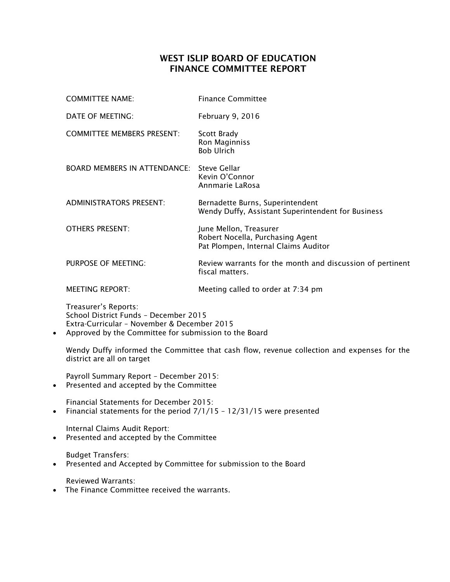## WEST ISLIP BOARD OF EDUCATION FINANCE COMMITTEE REPORT

|           | <b>COMMITTEE NAME:</b>                                                                                                                                                | <b>Finance Committee</b>                                                                           |  |
|-----------|-----------------------------------------------------------------------------------------------------------------------------------------------------------------------|----------------------------------------------------------------------------------------------------|--|
|           | DATE OF MEETING:                                                                                                                                                      | February 9, 2016                                                                                   |  |
|           | <b>COMMITTEE MEMBERS PRESENT:</b>                                                                                                                                     | Scott Brady<br>Ron Maginniss<br><b>Bob Ulrich</b>                                                  |  |
|           | <b>BOARD MEMBERS IN ATTENDANCE:</b> Steve Gellar                                                                                                                      | Kevin O'Connor<br>Annmarie LaRosa                                                                  |  |
|           | <b>ADMINISTRATORS PRESENT:</b>                                                                                                                                        | Bernadette Burns, Superintendent<br>Wendy Duffy, Assistant Superintendent for Business             |  |
|           | <b>OTHERS PRESENT:</b>                                                                                                                                                | June Mellon, Treasurer<br>Robert Nocella, Purchasing Agent<br>Pat Plompen, Internal Claims Auditor |  |
|           | PURPOSE OF MEETING:                                                                                                                                                   | Review warrants for the month and discussion of pertinent<br>fiscal matters.                       |  |
|           | <b>MEETING REPORT:</b>                                                                                                                                                | Meeting called to order at 7:34 pm                                                                 |  |
| $\bullet$ | Treasurer's Reports:<br>School District Funds - December 2015<br>Extra-Curricular - November & December 2015<br>Approved by the Committee for submission to the Board |                                                                                                    |  |
|           | Wendy Duffy informed the Committee that cash flow, revenue collection and expenses for the<br>district are all on target                                              |                                                                                                    |  |
|           | Payroll Summary Report - December 2015:                                                                                                                               |                                                                                                    |  |

• Presented and accepted by the Committee

Financial Statements for December 2015: • Financial statements for the period  $7/1/15$  –  $12/31/15$  were presented

Internal Claims Audit Report: Presented and accepted by the Committee

Budget Transfers:

Presented and Accepted by Committee for submission to the Board

Reviewed Warrants:

• The Finance Committee received the warrants.